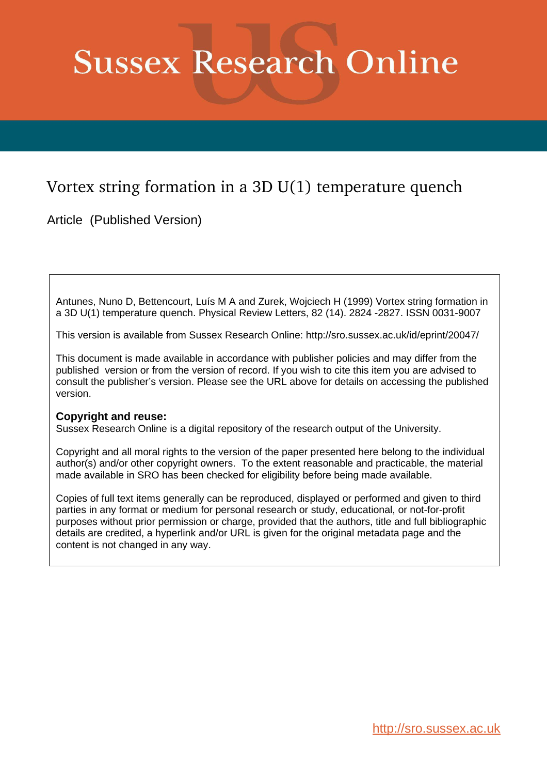## **Sussex Research Online**

## Vortex string formation in a 3D U(1) temperature quench

Article (Published Version)

Antunes, Nuno D, Bettencourt, Luís M A and Zurek, Wojciech H (1999) Vortex string formation in a 3D U(1) temperature quench. Physical Review Letters, 82 (14). 2824 -2827. ISSN 0031-9007

This version is available from Sussex Research Online: http://sro.sussex.ac.uk/id/eprint/20047/

This document is made available in accordance with publisher policies and may differ from the published version or from the version of record. If you wish to cite this item you are advised to consult the publisher's version. Please see the URL above for details on accessing the published version.

## **Copyright and reuse:**

Sussex Research Online is a digital repository of the research output of the University.

Copyright and all moral rights to the version of the paper presented here belong to the individual author(s) and/or other copyright owners. To the extent reasonable and practicable, the material made available in SRO has been checked for eligibility before being made available.

Copies of full text items generally can be reproduced, displayed or performed and given to third parties in any format or medium for personal research or study, educational, or not-for-profit purposes without prior permission or charge, provided that the authors, title and full bibliographic details are credited, a hyperlink and/or URL is given for the original metadata page and the content is not changed in any way.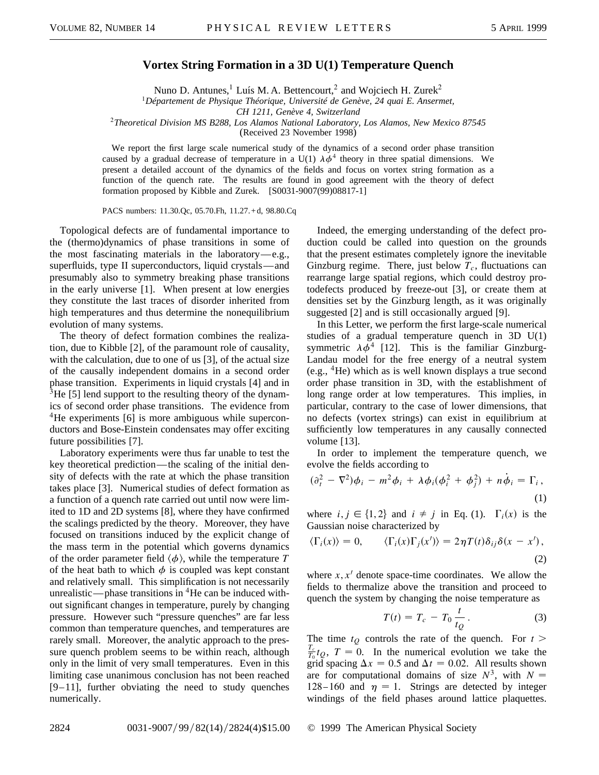## **Vortex String Formation in a 3D U(1) Temperature Quench**

Nuno D. Antunes,<sup>1</sup> Luís M. A. Bettencourt,<sup>2</sup> and Wojciech H. Zurek<sup>2</sup>

<sup>1</sup>*Département de Physique Théorique, Université de Genève, 24 quai E. Ansermet,*

*CH 1211, Genève 4, Switzerland*

<sup>2</sup>*Theoretical Division MS B288, Los Alamos National Laboratory, Los Alamos, New Mexico 87545*

(Received 23 November 1998)

We report the first large scale numerical study of the dynamics of a second order phase transition caused by a gradual decrease of temperature in a U(1)  $\lambda \phi^4$  theory in three spatial dimensions. We present a detailed account of the dynamics of the fields and focus on vortex string formation as a function of the quench rate. The results are found in good agreement with the theory of defect formation proposed by Kibble and Zurek. [S0031-9007(99)08817-1]

PACS numbers: 11.30.Qc, 05.70.Fh, 11.27. + d, 98.80.Cq

Topological defects are of fundamental importance to the (thermo)dynamics of phase transitions in some of the most fascinating materials in the laboratory—e.g., superfluids, type II superconductors, liquid crystals—and presumably also to symmetry breaking phase transitions in the early universe [1]. When present at low energies they constitute the last traces of disorder inherited from high temperatures and thus determine the nonequilibrium evolution of many systems.

The theory of defect formation combines the realization, due to Kibble [2], of the paramount role of causality, with the calculation, due to one of us [3], of the actual size of the causally independent domains in a second order phase transition. Experiments in liquid crystals [4] and in  $3$ He [5] lend support to the resulting theory of the dynamics of second order phase transitions. The evidence from <sup>4</sup>He experiments [6] is more ambiguous while superconductors and Bose-Einstein condensates may offer exciting future possibilities [7].

Laboratory experiments were thus far unable to test the key theoretical prediction—the scaling of the initial density of defects with the rate at which the phase transition takes place [3]. Numerical studies of defect formation as a function of a quench rate carried out until now were limited to 1D and 2D systems [8], where they have confirmed the scalings predicted by the theory. Moreover, they have focused on transitions induced by the explicit change of the mass term in the potential which governs dynamics of the order parameter field  $\langle \phi \rangle$ , while the temperature *T* of the heat bath to which  $\phi$  is coupled was kept constant and relatively small. This simplification is not necessarily unrealistic—phase transitions in  ${}^{4}$ He can be induced without significant changes in temperature, purely by changing pressure. However such "pressure quenches" are far less common than temperature quenches, and temperatures are rarely small. Moreover, the analytic approach to the pressure quench problem seems to be within reach, although only in the limit of very small temperatures. Even in this limiting case unanimous conclusion has not been reached [9–11], further obviating the need to study quenches numerically.

Indeed, the emerging understanding of the defect production could be called into question on the grounds that the present estimates completely ignore the inevitable Ginzburg regime. There, just below  $T_c$ , fluctuations can rearrange large spatial regions, which could destroy protodefects produced by freeze-out [3], or create them at densities set by the Ginzburg length, as it was originally suggested [2] and is still occasionally argued [9].

In this Letter, we perform the first large-scale numerical studies of a gradual temperature quench in 3D U(1) symmetric  $\lambda \phi^4$  [12]. This is the familiar Ginzburg-Landau model for the free energy of a neutral system (e.g.,  ${}^4$ He) which as is well known displays a true second order phase transition in 3D, with the establishment of long range order at low temperatures. This implies, in particular, contrary to the case of lower dimensions, that no defects (vortex strings) can exist in equilibrium at sufficiently low temperatures in any causally connected volume [13].

In order to implement the temperature quench, we evolve the fields according to

$$
(\partial_t^2 - \nabla^2)\phi_i - m^2\phi_i + \lambda\phi_i(\phi_i^2 + \phi_j^2) + n\dot{\phi}_i = \Gamma_i,
$$
\n(1)

where  $i, j \in \{1, 2\}$  and  $i \neq j$  in Eq. (1).  $\Gamma_i(x)$  is the Gaussian noise characterized by

$$
\langle \Gamma_i(x) \rangle = 0, \qquad \langle \Gamma_i(x) \Gamma_j(x') \rangle = 2 \eta T(t) \delta_{ij} \delta(x - x'), \tag{2}
$$

where  $x, x'$  denote space-time coordinates. We allow the fields to thermalize above the transition and proceed to quench the system by changing the noise temperature as

$$
T(t) = T_c - T_0 \frac{t}{t_Q}.
$$
 (3)

The time  $t_Q$  controls the rate of the quench. For  $t >$  $\frac{T_c}{T_0}t_Q$ ,  $T = 0$ . In the numerical evolution we take the grid spacing  $\Delta x = 0.5$  and  $\Delta t = 0.02$ . All results shown are for computational domains of size  $N^3$ , with  $N =$ 128-160 and  $\eta = 1$ . Strings are detected by integer windings of the field phases around lattice plaquettes.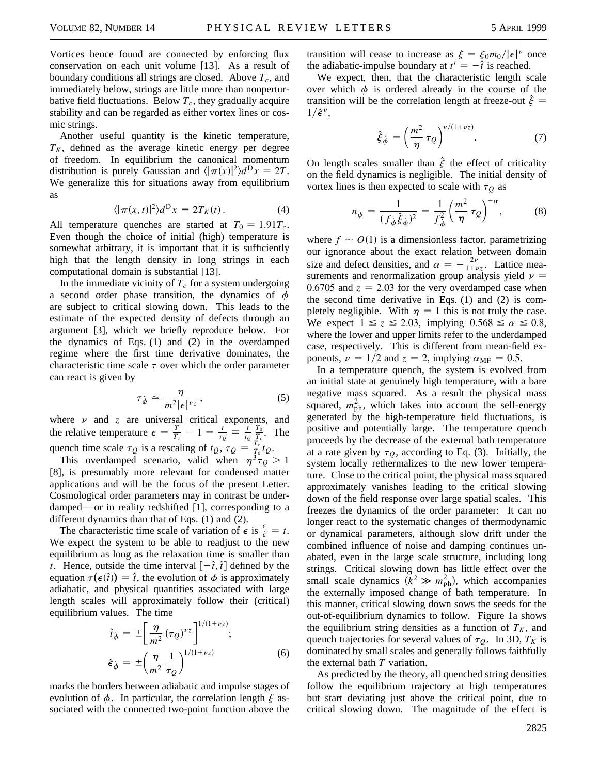Vortices hence found are connected by enforcing flux conservation on each unit volume [13]. As a result of boundary conditions all strings are closed. Above  $T_c$ , and immediately below, strings are little more than nonperturbative field fluctuations. Below  $T_c$ , they gradually acquire stability and can be regarded as either vortex lines or cosmic strings.

Another useful quantity is the kinetic temperature,  $T_K$ , defined as the average kinetic energy per degree of freedom. In equilibrium the canonical momentum distribution is purely Gaussian and  $\langle |\pi(x)|^2 \rangle d^D x = 2T$ . We generalize this for situations away from equilibrium as

$$
\langle |\pi(x,t)|^2 \rangle d^D x \equiv 2T_K(t). \tag{4}
$$

All temperature quenches are started at  $T_0 = 1.91T_c$ . Even though the choice of initial (high) temperature is somewhat arbitrary, it is important that it is sufficiently high that the length density in long strings in each computational domain is substantial [13].

In the immediate vicinity of  $T_c$  for a system undergoing a second order phase transition, the dynamics of  $\phi$ are subject to critical slowing down. This leads to the estimate of the expected density of defects through an argument [3], which we briefly reproduce below. For the dynamics of Eqs. (1) and (2) in the overdamped regime where the first time derivative dominates, the characteristic time scale  $\tau$  over which the order parameter can react is given by

$$
\tau_{\dot{\phi}} \simeq \frac{\eta}{m^2 |\epsilon|^{\nu z}},\tag{5}
$$

where  $\nu$  and  $\zeta$  are universal critical exponents, and the relative temperature  $\epsilon = \frac{T}{T_c} - 1 = \frac{t}{\tau_Q} \equiv \frac{t}{t_Q}$  $\frac{T_0}{T_c}$ . The quench time scale  $\tau_Q$  is a rescaling of  $t_Q$ ,  $\tau_Q = \frac{T_c}{T_0} t_Q$ .

This overdamped scenario, valid when  $\eta^3 \tau_Q > 1$ [8], is presumably more relevant for condensed matter applications and will be the focus of the present Letter. Cosmological order parameters may in contrast be underdamped—or in reality redshifted [1], corresponding to a different dynamics than that of Eqs. (1) and (2).

The characteristic time scale of variation of  $\epsilon$  is  $\frac{\epsilon}{\epsilon} = t$ . We expect the system to be able to readjust to the new equilibrium as long as the relaxation time is smaller than *t*. Hence, outside the time interval  $[-\hat{t}, \hat{t}]$  defined by the equation  $\tau(\epsilon(\hat{t})) = \hat{t}$ , the evolution of  $\phi$  is approximately adiabatic, and physical quantities associated with large length scales will approximately follow their (critical) equilibrium values. The time

$$
\hat{i}_{\dot{\phi}} = \pm \left[ \frac{\eta}{m^2} (\tau_Q)^{\nu_Z} \right]^{1/(1+\nu_Z)}; \n\hat{\epsilon}_{\dot{\phi}} = \pm \left( \frac{\eta}{m^2} \frac{1}{\tau_Q} \right)^{1/(1+\nu_Z)}; \tag{6}
$$

marks the borders between adiabatic and impulse stages of evolution of  $\phi$ . In particular, the correlation length  $\xi$  associated with the connected two-point function above the

transition will cease to increase as  $\xi = \xi_0 m_0 / |\epsilon|^{\nu}$  once the adiabatic-impulse boundary at  $t' = -\hat{t}$  is reached.

We expect, then, that the characteristic length scale over which  $\phi$  is ordered already in the course of the transition will be the correlation length at freeze-out  $\ddot{\xi} =$  $1/\hat{\epsilon}^{\nu}$ ,

$$
\hat{\xi}_{\dot{\phi}} = \left(\frac{m^2}{\eta} \tau_Q\right)^{\nu/(1+\nu z)}.\tag{7}
$$

On length scales smaller than  $\hat{\xi}$  the effect of criticality on the field dynamics is negligible. The initial density of vortex lines is then expected to scale with  $\tau_Q$  as

$$
n_{\dot{\phi}} = \frac{1}{(f_{\dot{\phi}}\hat{\xi}_{\dot{\phi}})^2} = \frac{1}{f_{\dot{\phi}}^2} \left(\frac{m^2}{\eta} \tau_Q\right)^{-\alpha},\tag{8}
$$

where  $f \sim O(1)$  is a dimensionless factor, parametrizing our ignorance about the exact relation between domain size and defect densities, and  $\alpha = -\frac{2\nu}{1+\nu z}$ . Lattice measurements and renormalization group analysis yield  $\nu =$ 0.6705 and  $z = 2.03$  for the very overdamped case when the second time derivative in Eqs. (1) and (2) is completely negligible. With  $\eta = 1$  this is not truly the case. We expect  $1 \le z \le 2.03$ , implying  $0.568 \le \alpha \le 0.8$ , where the lower and upper limits refer to the underdamped case, respectively. This is different from mean-field exponents,  $\nu = 1/2$  and  $z = 2$ , implying  $\alpha_{\text{MF}} = 0.5$ .

In a temperature quench, the system is evolved from an initial state at genuinely high temperature, with a bare negative mass squared. As a result the physical mass squared,  $m_{\rm ph}^2$ , which takes into account the self-energy generated by the high-temperature field fluctuations, is positive and potentially large. The temperature quench proceeds by the decrease of the external bath temperature at a rate given by  $\tau<sub>O</sub>$ , according to Eq. (3). Initially, the system locally rethermalizes to the new lower temperature. Close to the critical point, the physical mass squared approximately vanishes leading to the critical slowing down of the field response over large spatial scales. This freezes the dynamics of the order parameter: It can no longer react to the systematic changes of thermodynamic or dynamical parameters, although slow drift under the combined influence of noise and damping continues unabated, even in the large scale structure, including long strings. Critical slowing down has little effect over the small scale dynamics  $(k^2 \gg m_{\text{ph}}^2)$ , which accompanies the externally imposed change of bath temperature. In this manner, critical slowing down sows the seeds for the out-of-equilibrium dynamics to follow. Figure 1a shows the equilibrium string densities as a function of  $T_K$ , and quench trajectories for several values of  $\tau_Q$ . In 3D,  $T_K$  is dominated by small scales and generally follows faithfully the external bath *T* variation.

As predicted by the theory, all quenched string densities follow the equilibrium trajectory at high temperatures but start deviating just above the critical point, due to critical slowing down. The magnitude of the effect is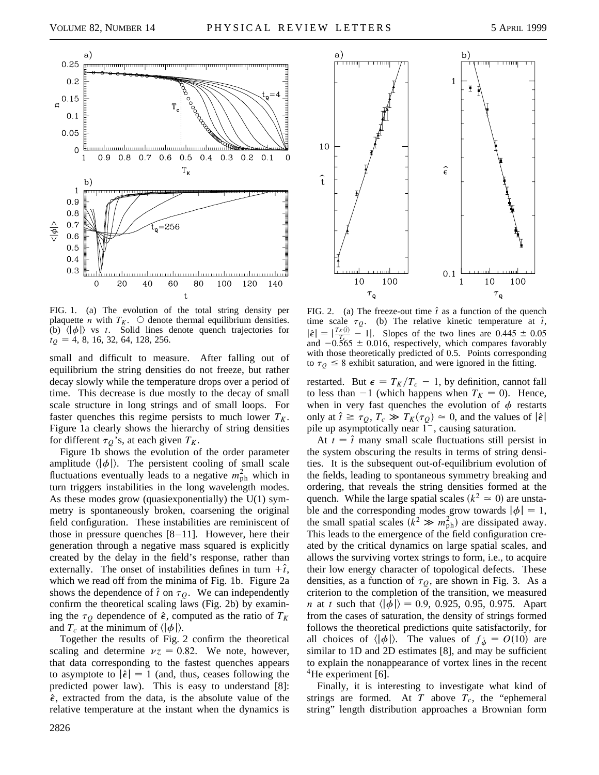



FIG. 1. (a) The evolution of the total string density per plaquette *n* with  $T_K$ .  $\bigcirc$  denote thermal equilibrium densities. (b)  $\langle |\phi| \rangle$  vs *t*. Solid lines denote quench trajectories for  $t<sub>O</sub> = 4, 8, 16, 32, 64, 128, 256.$ 

small and difficult to measure. After falling out of equilibrium the string densities do not freeze, but rather decay slowly while the temperature drops over a period of time. This decrease is due mostly to the decay of small scale structure in long strings and of small loops. For faster quenches this regime persists to much lower  $T_K$ . Figure 1a clearly shows the hierarchy of string densities for different  $\tau_Q$ 's, at each given  $T_K$ .

Figure 1b shows the evolution of the order parameter amplitude  $\langle |\phi| \rangle$ . The persistent cooling of small scale fluctuations eventually leads to a negative  $m_{\text{ph}}^2$  which in turn triggers instabilities in the long wavelength modes. As these modes grow (quasiexponentially) the U(1) symmetry is spontaneously broken, coarsening the original field configuration. These instabilities are reminiscent of those in pressure quenches [8–11]. However, here their generation through a negative mass squared is explicitly created by the delay in the field's response, rather than externally. The onset of instabilities defines in turn  $+\hat{i}$ , which we read off from the minima of Fig. 1b. Figure 2a shows the dependence of  $\hat{t}$  on  $\tau_Q$ . We can independently confirm the theoretical scaling laws (Fig. 2b) by examining the  $\tau_Q$  dependence of  $\hat{\epsilon}$ , computed as the ratio of  $T_K$ and  $T_c$  at the minimum of  $\langle |\phi| \rangle$ .

Together the results of Fig. 2 confirm the theoretical scaling and determine  $vz = 0.82$ . We note, however, that data corresponding to the fastest quenches appears to asymptote to  $|\hat{\epsilon}| = 1$  (and, thus, ceases following the predicted power law). This is easy to understand [8]:  $\hat{\epsilon}$ , extracted from the data, is the absolute value of the relative temperature at the instant when the dynamics is



FIG. 2. (a) The freeze-out time  $\hat{t}$  as a function of the quench time scale  $\tau_Q$ . (b) The relative kinetic temperature at  $\hat{t}$ ,  $|\hat{\epsilon}| = \frac{T_K(\hat{i})}{T_{c}} - 1$ . Slopes of the two lines are  $0.445 \pm 0.05$ and  $-0.565 \pm 0.016$ , respectively, which compares favorably with those theoretically predicted of 0.5. Points corresponding to  $\tau$ <sub>0</sub>  $\leq$  8 exhibit saturation, and were ignored in the fitting.

restarted. But  $\epsilon = T_K/T_c - 1$ , by definition, cannot fall to less than  $-1$  (which happens when  $T_K = 0$ ). Hence, when in very fast quenches the evolution of  $\phi$  restarts only at  $\hat{t} \ge \tau_Q$ ,  $T_c \gg T_K(\tau_Q) \approx 0$ , and the values of  $|\hat{\epsilon}|$ pile up asymptotically near  $1^-$ , causing saturation.

At  $t = \hat{t}$  many small scale fluctuations still persist in the system obscuring the results in terms of string densities. It is the subsequent out-of-equilibrium evolution of the fields, leading to spontaneous symmetry breaking and ordering, that reveals the string densities formed at the quench. While the large spatial scales  $(k^2 \approx 0)$  are unstable and the corresponding modes grow towards  $|\phi| = 1$ , the small spatial scales  $(k^2 \gg m_{\text{ph}}^2)$  are dissipated away. This leads to the emergence of the field configuration created by the critical dynamics on large spatial scales, and allows the surviving vortex strings to form, i.e., to acquire their low energy character of topological defects. These densities, as a function of  $\tau_Q$ , are shown in Fig. 3. As a criterion to the completion of the transition, we measured *n* at *t* such that  $\langle |\phi| \rangle = 0.9, 0.925, 0.95, 0.975$ . Apart from the cases of saturation, the density of strings formed follows the theoretical predictions quite satisfactorily, for all choices of  $\langle |\phi| \rangle$ . The values of  $f_{\phi} = O(10)$  are similar to 1D and 2D estimates [8], and may be sufficient to explain the nonappearance of vortex lines in the recent  ${}^{4}$ He experiment [6].

Finally, it is interesting to investigate what kind of strings are formed. At  $T$  above  $T_c$ , the "ephemeral string" length distribution approaches a Brownian form